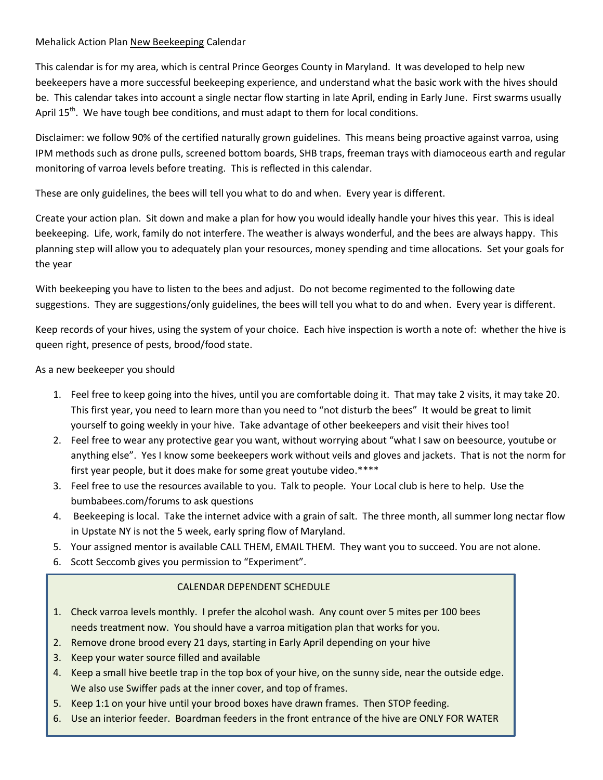## Mehalick Action Plan New Beekeeping Calendar

This calendar is for my area, which is central Prince Georges County in Maryland. It was developed to help new beekeepers have a more successful beekeeping experience, and understand what the basic work with the hives should be. This calendar takes into account a single nectar flow starting in late April, ending in Early June. First swarms usually April  $15<sup>th</sup>$ . We have tough bee conditions, and must adapt to them for local conditions.

Disclaimer: we follow 90% of the certified naturally grown guidelines. This means being proactive against varroa, using IPM methods such as drone pulls, screened bottom boards, SHB traps, freeman trays with diamoceous earth and regular monitoring of varroa levels before treating. This is reflected in this calendar.

These are only guidelines, the bees will tell you what to do and when. Every year is different.

Create your action plan. Sit down and make a plan for how you would ideally handle your hives this year. This is ideal beekeeping. Life, work, family do not interfere. The weather is always wonderful, and the bees are always happy. This planning step will allow you to adequately plan your resources, money spending and time allocations. Set your goals for the year

With beekeeping you have to listen to the bees and adjust. Do not become regimented to the following date suggestions. They are suggestions/only guidelines, the bees will tell you what to do and when. Every year is different.

Keep records of your hives, using the system of your choice. Each hive inspection is worth a note of: whether the hive is queen right, presence of pests, brood/food state.

## As a new beekeeper you should

- 1. Feel free to keep going into the hives, until you are comfortable doing it. That may take 2 visits, it may take 20. This first year, you need to learn more than you need to "not disturb the bees" It would be great to limit yourself to going weekly in your hive. Take advantage of other beekeepers and visit their hives too!
- 2. Feel free to wear any protective gear you want, without worrying about "what I saw on beesource, youtube or anything else". Yes I know some beekeepers work without veils and gloves and jackets. That is not the norm for first year people, but it does make for some great youtube video.\*\*\*\*
- 3. Feel free to use the resources available to you. Talk to people. Your Local club is here to help. Use the bumbabees.com/forums to ask questions
- 4. Beekeeping is local. Take the internet advice with a grain of salt. The three month, all summer long nectar flow in Upstate NY is not the 5 week, early spring flow of Maryland.
- 5. Your assigned mentor is available CALL THEM, EMAIL THEM. They want you to succeed. You are not alone.
- 6. Scott Seccomb gives you permission to "Experiment".

# CALENDAR DEPENDENT SCHEDULE

- 1. Check varroa levels monthly. I prefer the alcohol wash. Any count over 5 mites per 100 bees needs treatment now. You should have a varroa mitigation plan that works for you.
- 2. Remove drone brood every 21 days, starting in Early April depending on your hive
- 3. Keep your water source filled and available
- 4. Keep a small hive beetle trap in the top box of your hive, on the sunny side, near the outside edge. We also use Swiffer pads at the inner cover, and top of frames.
- 5. Keep 1:1 on your hive until your brood boxes have drawn frames. Then STOP feeding.
- 6. Use an interior feeder. Boardman feeders in the front entrance of the hive are ONLY FOR WATER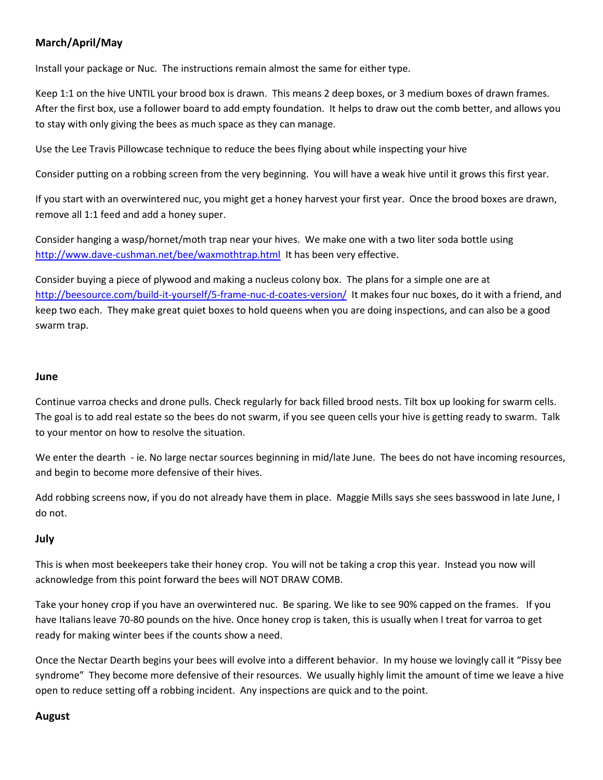# **March/April/May**

Install your package or Nuc. The instructions remain almost the same for either type.

Keep 1:1 on the hive UNTIL your brood box is drawn. This means 2 deep boxes, or 3 medium boxes of drawn frames. After the first box, use a follower board to add empty foundation. It helps to draw out the comb better, and allows you to stay with only giving the bees as much space as they can manage.

Use the Lee Travis Pillowcase technique to reduce the bees flying about while inspecting your hive

Consider putting on a robbing screen from the very beginning. You will have a weak hive until it grows this first year.

If you start with an overwintered nuc, you might get a honey harvest your first year. Once the brood boxes are drawn, remove all 1:1 feed and add a honey super.

Consider hanging a wasp/hornet/moth trap near your hives. We make one with a two liter soda bottle using <http://www.dave-cushman.net/bee/waxmothtrap.html>It has been very effective.

Consider buying a piece of plywood and making a nucleus colony box. The plans for a simple one are at <http://beesource.com/build-it-yourself/5-frame-nuc-d-coates-version/>It makes four nuc boxes, do it with a friend, and keep two each. They make great quiet boxes to hold queens when you are doing inspections, and can also be a good swarm trap.

#### **June**

Continue varroa checks and drone pulls. Check regularly for back filled brood nests. Tilt box up looking for swarm cells. The goal is to add real estate so the bees do not swarm, if you see queen cells your hive is getting ready to swarm. Talk to your mentor on how to resolve the situation.

We enter the dearth - ie. No large nectar sources beginning in mid/late June. The bees do not have incoming resources, and begin to become more defensive of their hives.

Add robbing screens now, if you do not already have them in place. Maggie Mills says she sees basswood in late June, I do not.

# **July**

This is when most beekeepers take their honey crop. You will not be taking a crop this year. Instead you now will acknowledge from this point forward the bees will NOT DRAW COMB.

Take your honey crop if you have an overwintered nuc. Be sparing. We like to see 90% capped on the frames. If you have Italians leave 70-80 pounds on the hive. Once honey crop is taken, this is usually when I treat for varroa to get ready for making winter bees if the counts show a need.

Once the Nectar Dearth begins your bees will evolve into a different behavior. In my house we lovingly call it "Pissy bee syndrome" They become more defensive of their resources. We usually highly limit the amount of time we leave a hive open to reduce setting off a robbing incident. Any inspections are quick and to the point.

# **August**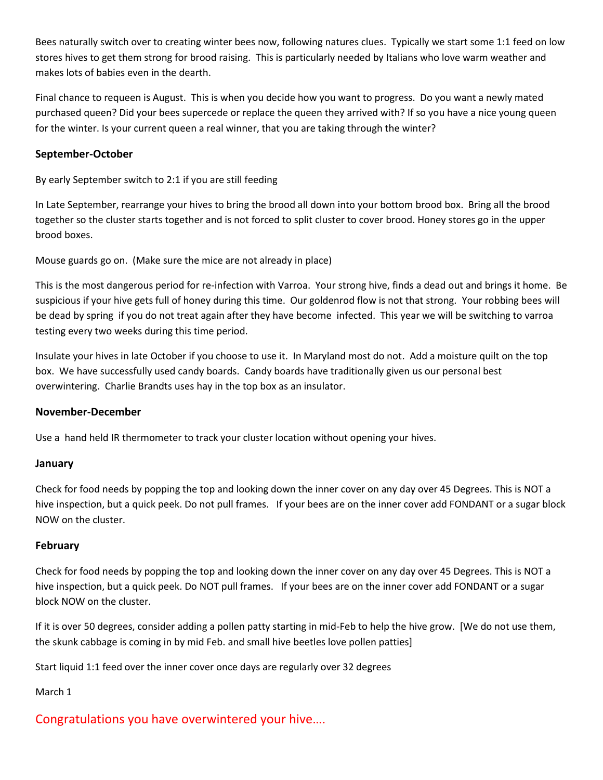Bees naturally switch over to creating winter bees now, following natures clues. Typically we start some 1:1 feed on low stores hives to get them strong for brood raising. This is particularly needed by Italians who love warm weather and makes lots of babies even in the dearth.

Final chance to requeen is August. This is when you decide how you want to progress. Do you want a newly mated purchased queen? Did your bees supercede or replace the queen they arrived with? If so you have a nice young queen for the winter. Is your current queen a real winner, that you are taking through the winter?

# **September-October**

By early September switch to 2:1 if you are still feeding

In Late September, rearrange your hives to bring the brood all down into your bottom brood box. Bring all the brood together so the cluster starts together and is not forced to split cluster to cover brood. Honey stores go in the upper brood boxes.

Mouse guards go on. (Make sure the mice are not already in place)

This is the most dangerous period for re-infection with Varroa. Your strong hive, finds a dead out and brings it home. Be suspicious if your hive gets full of honey during this time. Our goldenrod flow is not that strong. Your robbing bees will be dead by spring if you do not treat again after they have become infected. This year we will be switching to varroa testing every two weeks during this time period.

Insulate your hives in late October if you choose to use it. In Maryland most do not. Add a moisture quilt on the top box. We have successfully used candy boards. Candy boards have traditionally given us our personal best overwintering. Charlie Brandts uses hay in the top box as an insulator.

# **November-December**

Use a hand held IR thermometer to track your cluster location without opening your hives.

# **January**

Check for food needs by popping the top and looking down the inner cover on any day over 45 Degrees. This is NOT a hive inspection, but a quick peek. Do not pull frames. If your bees are on the inner cover add FONDANT or a sugar block NOW on the cluster.

# **February**

Check for food needs by popping the top and looking down the inner cover on any day over 45 Degrees. This is NOT a hive inspection, but a quick peek. Do NOT pull frames. If your bees are on the inner cover add FONDANT or a sugar block NOW on the cluster.

If it is over 50 degrees, consider adding a pollen patty starting in mid-Feb to help the hive grow. [We do not use them, the skunk cabbage is coming in by mid Feb. and small hive beetles love pollen patties]

Start liquid 1:1 feed over the inner cover once days are regularly over 32 degrees

# March 1

# Congratulations you have overwintered your hive….